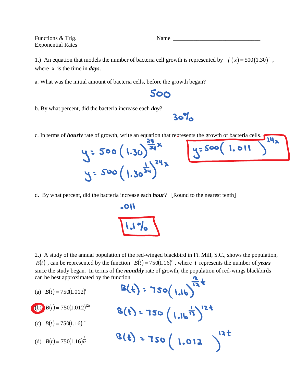Functions & Trig. Name Exponential Rates

1.) An equation that models the number of bacteria cell growth is represented by  $f(x) = 500(1.30)^x$ , where *x* is the time in *days*.

a. What was the initial amount of bacteria cells, before the growth began?

## 500

 $30<sub>2</sub>$ 

 $y = 500$ 

1.011

t

b. By what percent, did the bacteria increase each *day*?

c. In terms of *hourly* rate of growth, write an equation that represents the growth of bacteria cells.<br>  $y = 500 (1.30)^{\frac{1}{24}}$ <br>  $y = 500 (1.30)^{\frac{1}{24}}$ 24x

## d. By what percent, did the bacteria increase each *hour*? [Round to the nearest tenth]

**110.** 

2.) A study of the annual population of the red-winged blackbird in Ft. Mill, S.C., shows the population,  $B(t)$ , can be represented by the function  $B(t) = 750(1.16)^t$ , where *t* represents the number of *years* since the study began. In terms of the *monthly* rate of growth, the population of red-wings blackbirds can be best approximated by the function  $\frac{12}{2}$ +

(a) 
$$
B(t) = 750(1.012)^t
$$
  
\n(b)  $B(t) = 750(1.012)^{12t}$   
\n(c)  $B(t) = 750(1.16)^{12t}$   
\n(d)  $B(t) = 750(1.16)^{\frac{t}{12}}$   
\n**8(t) = 750 (1.16)<sup>12</sup>  
\n**8(t) = 750 (1.16)<sup>12</sup>  
\n**8(t) = 750 (1.012)******